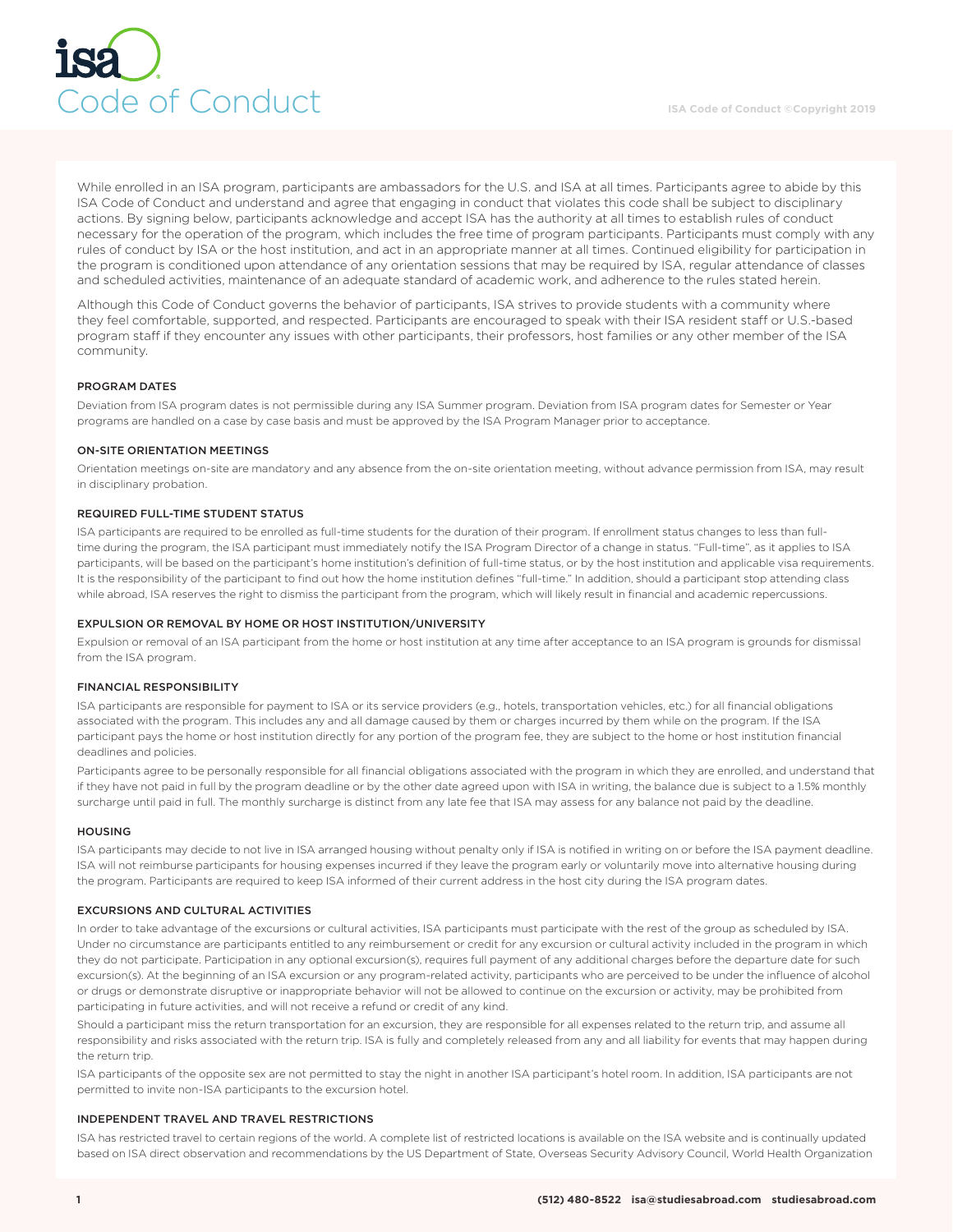

While enrolled in an ISA program, participants are ambassadors for the U.S. and ISA at all times. Participants agree to abide by this ISA Code of Conduct and understand and agree that engaging in conduct that violates this code shall be subject to disciplinary actions. By signing below, participants acknowledge and accept ISA has the authority at all times to establish rules of conduct necessary for the operation of the program, which includes the free time of program participants. Participants must comply with any rules of conduct by ISA or the host institution, and act in an appropriate manner at all times. Continued eligibility for participation in the program is conditioned upon attendance of any orientation sessions that may be required by ISA, regular attendance of classes and scheduled activities, maintenance of an adequate standard of academic work, and adherence to the rules stated herein.

Although this Code of Conduct governs the behavior of participants, ISA strives to provide students with a community where they feel comfortable, supported, and respected. Participants are encouraged to speak with their ISA resident staff or U.S.-based program staff if they encounter any issues with other participants, their professors, host families or any other member of the ISA community.

# PROGRAM DATES

Deviation from ISA program dates is not permissible during any ISA Summer program. Deviation from ISA program dates for Semester or Year programs are handled on a case by case basis and must be approved by the ISA Program Manager prior to acceptance.

#### ON-SITE ORIENTATION MEETINGS

Orientation meetings on-site are mandatory and any absence from the on-site orientation meeting, without advance permission from ISA, may result in disciplinary probation.

# REQUIRED FULL-TIME STUDENT STATUS

ISA participants are required to be enrolled as full-time students for the duration of their program. If enrollment status changes to less than fulltime during the program, the ISA participant must immediately notify the ISA Program Director of a change in status. "Full-time", as it applies to ISA participants, will be based on the participant's home institution's definition of full-time status, or by the host institution and applicable visa requirements. It is the responsibility of the participant to find out how the home institution defines "full-time." In addition, should a participant stop attending class while abroad, ISA reserves the right to dismiss the participant from the program, which will likely result in financial and academic repercussions.

## EXPULSION OR REMOVAL BY HOME OR HOST INSTITUTION/UNIVERSITY

Expulsion or removal of an ISA participant from the home or host institution at any time after acceptance to an ISA program is grounds for dismissal from the ISA program.

#### FINANCIAL RESPONSIBILITY

ISA participants are responsible for payment to ISA or its service providers (e.g., hotels, transportation vehicles, etc.) for all financial obligations associated with the program. This includes any and all damage caused by them or charges incurred by them while on the program. If the ISA participant pays the home or host institution directly for any portion of the program fee, they are subject to the home or host institution financial deadlines and policies.

Participants agree to be personally responsible for all financial obligations associated with the program in which they are enrolled, and understand that if they have not paid in full by the program deadline or by the other date agreed upon with ISA in writing, the balance due is subject to a 1.5% monthly surcharge until paid in full. The monthly surcharge is distinct from any late fee that ISA may assess for any balance not paid by the deadline.

# HOUSING

ISA participants may decide to not live in ISA arranged housing without penalty only if ISA is notified in writing on or before the ISA payment deadline. ISA will not reimburse participants for housing expenses incurred if they leave the program early or voluntarily move into alternative housing during the program. Participants are required to keep ISA informed of their current address in the host city during the ISA program dates.

#### EXCURSIONS AND CULTURAL ACTIVITIES

In order to take advantage of the excursions or cultural activities, ISA participants must participate with the rest of the group as scheduled by ISA. Under no circumstance are participants entitled to any reimbursement or credit for any excursion or cultural activity included in the program in which they do not participate. Participation in any optional excursion(s), requires full payment of any additional charges before the departure date for such excursion(s). At the beginning of an ISA excursion or any program-related activity, participants who are perceived to be under the influence of alcohol or drugs or demonstrate disruptive or inappropriate behavior will not be allowed to continue on the excursion or activity, may be prohibited from participating in future activities, and will not receive a refund or credit of any kind.

Should a participant miss the return transportation for an excursion, they are responsible for all expenses related to the return trip, and assume all responsibility and risks associated with the return trip. ISA is fully and completely released from any and all liability for events that may happen during the return trip.

ISA participants of the opposite sex are not permitted to stay the night in another ISA participant's hotel room. In addition, ISA participants are not permitted to invite non-ISA participants to the excursion hotel.

#### INDEPENDENT TRAVEL AND TRAVEL RESTRICTIONS

ISA has restricted travel to certain regions of the world. A complete list of restricted locations is available on the ISA website and is continually updated based on ISA direct observation and recommendations by the US Department of State, Overseas Security Advisory Council, World Health Organization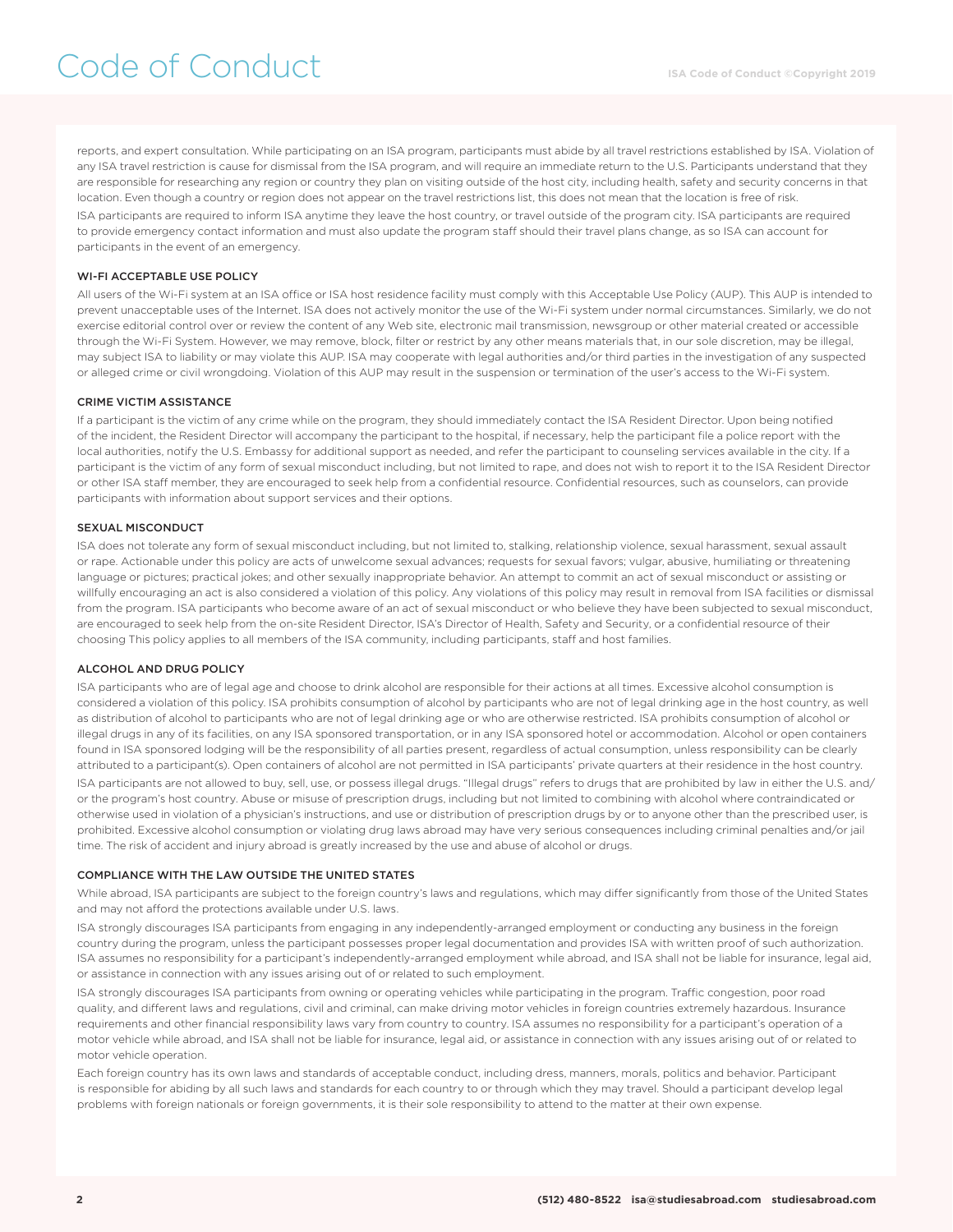reports, and expert consultation. While participating on an ISA program, participants must abide by all travel restrictions established by ISA. Violation of any ISA travel restriction is cause for dismissal from the ISA program, and will require an immediate return to the U.S. Participants understand that they are responsible for researching any region or country they plan on visiting outside of the host city, including health, safety and security concerns in that location. Even though a country or region does not appear on the travel restrictions list, this does not mean that the location is free of risk. ISA participants are required to inform ISA anytime they leave the host country, or travel outside of the program city. ISA participants are required to provide emergency contact information and must also update the program staff should their travel plans change, as so ISA can account for participants in the event of an emergency.

## WI-FI ACCEPTABLE USE POLICY

All users of the Wi-Fi system at an ISA office or ISA host residence facility must comply with this Acceptable Use Policy (AUP). This AUP is intended to prevent unacceptable uses of the Internet. ISA does not actively monitor the use of the Wi-Fi system under normal circumstances. Similarly, we do not exercise editorial control over or review the content of any Web site, electronic mail transmission, newsgroup or other material created or accessible through the Wi-Fi System. However, we may remove, block, filter or restrict by any other means materials that, in our sole discretion, may be illegal, may subject ISA to liability or may violate this AUP. ISA may cooperate with legal authorities and/or third parties in the investigation of any suspected or alleged crime or civil wrongdoing. Violation of this AUP may result in the suspension or termination of the user's access to the Wi-Fi system.

## CRIME VICTIM ASSISTANCE

If a participant is the victim of any crime while on the program, they should immediately contact the ISA Resident Director. Upon being notified of the incident, the Resident Director will accompany the participant to the hospital, if necessary, help the participant file a police report with the local authorities, notify the U.S. Embassy for additional support as needed, and refer the participant to counseling services available in the city. If a participant is the victim of any form of sexual misconduct including, but not limited to rape, and does not wish to report it to the ISA Resident Director or other ISA staff member, they are encouraged to seek help from a confidential resource. Confidential resources, such as counselors, can provide participants with information about support services and their options.

## SEXUAL MISCONDUCT

ISA does not tolerate any form of sexual misconduct including, but not limited to, stalking, relationship violence, sexual harassment, sexual assault or rape. Actionable under this policy are acts of unwelcome sexual advances; requests for sexual favors; vulgar, abusive, humiliating or threatening language or pictures; practical jokes; and other sexually inappropriate behavior. An attempt to commit an act of sexual misconduct or assisting or willfully encouraging an act is also considered a violation of this policy. Any violations of this policy may result in removal from ISA facilities or dismissal from the program. ISA participants who become aware of an act of sexual misconduct or who believe they have been subjected to sexual misconduct, are encouraged to seek help from the on-site Resident Director, ISA's Director of Health, Safety and Security, or a confidential resource of their choosing This policy applies to all members of the ISA community, including participants, staff and host families.

## ALCOHOL AND DRUG POLICY

ISA participants who are of legal age and choose to drink alcohol are responsible for their actions at all times. Excessive alcohol consumption is considered a violation of this policy. ISA prohibits consumption of alcohol by participants who are not of legal drinking age in the host country, as well as distribution of alcohol to participants who are not of legal drinking age or who are otherwise restricted. ISA prohibits consumption of alcohol or illegal drugs in any of its facilities, on any ISA sponsored transportation, or in any ISA sponsored hotel or accommodation. Alcohol or open containers found in ISA sponsored lodging will be the responsibility of all parties present, regardless of actual consumption, unless responsibility can be clearly attributed to a participant(s). Open containers of alcohol are not permitted in ISA participants' private quarters at their residence in the host country.

ISA participants are not allowed to buy, sell, use, or possess illegal drugs. "Illegal drugs" refers to drugs that are prohibited by law in either the U.S. and/ or the program's host country. Abuse or misuse of prescription drugs, including but not limited to combining with alcohol where contraindicated or otherwise used in violation of a physician's instructions, and use or distribution of prescription drugs by or to anyone other than the prescribed user, is prohibited. Excessive alcohol consumption or violating drug laws abroad may have very serious consequences including criminal penalties and/or jail time. The risk of accident and injury abroad is greatly increased by the use and abuse of alcohol or drugs.

#### COMPLIANCE WITH THE LAW OUTSIDE THE UNITED STATES

While abroad, ISA participants are subject to the foreign country's laws and regulations, which may differ significantly from those of the United States and may not afford the protections available under U.S. laws.

ISA strongly discourages ISA participants from engaging in any independently-arranged employment or conducting any business in the foreign country during the program, unless the participant possesses proper legal documentation and provides ISA with written proof of such authorization. ISA assumes no responsibility for a participant's independently-arranged employment while abroad, and ISA shall not be liable for insurance, legal aid, or assistance in connection with any issues arising out of or related to such employment.

ISA strongly discourages ISA participants from owning or operating vehicles while participating in the program. Traffic congestion, poor road quality, and different laws and regulations, civil and criminal, can make driving motor vehicles in foreign countries extremely hazardous. Insurance requirements and other financial responsibility laws vary from country to country. ISA assumes no responsibility for a participant's operation of a motor vehicle while abroad, and ISA shall not be liable for insurance, legal aid, or assistance in connection with any issues arising out of or related to motor vehicle operation.

Each foreign country has its own laws and standards of acceptable conduct, including dress, manners, morals, politics and behavior. Participant is responsible for abiding by all such laws and standards for each country to or through which they may travel. Should a participant develop legal problems with foreign nationals or foreign governments, it is their sole responsibility to attend to the matter at their own expense.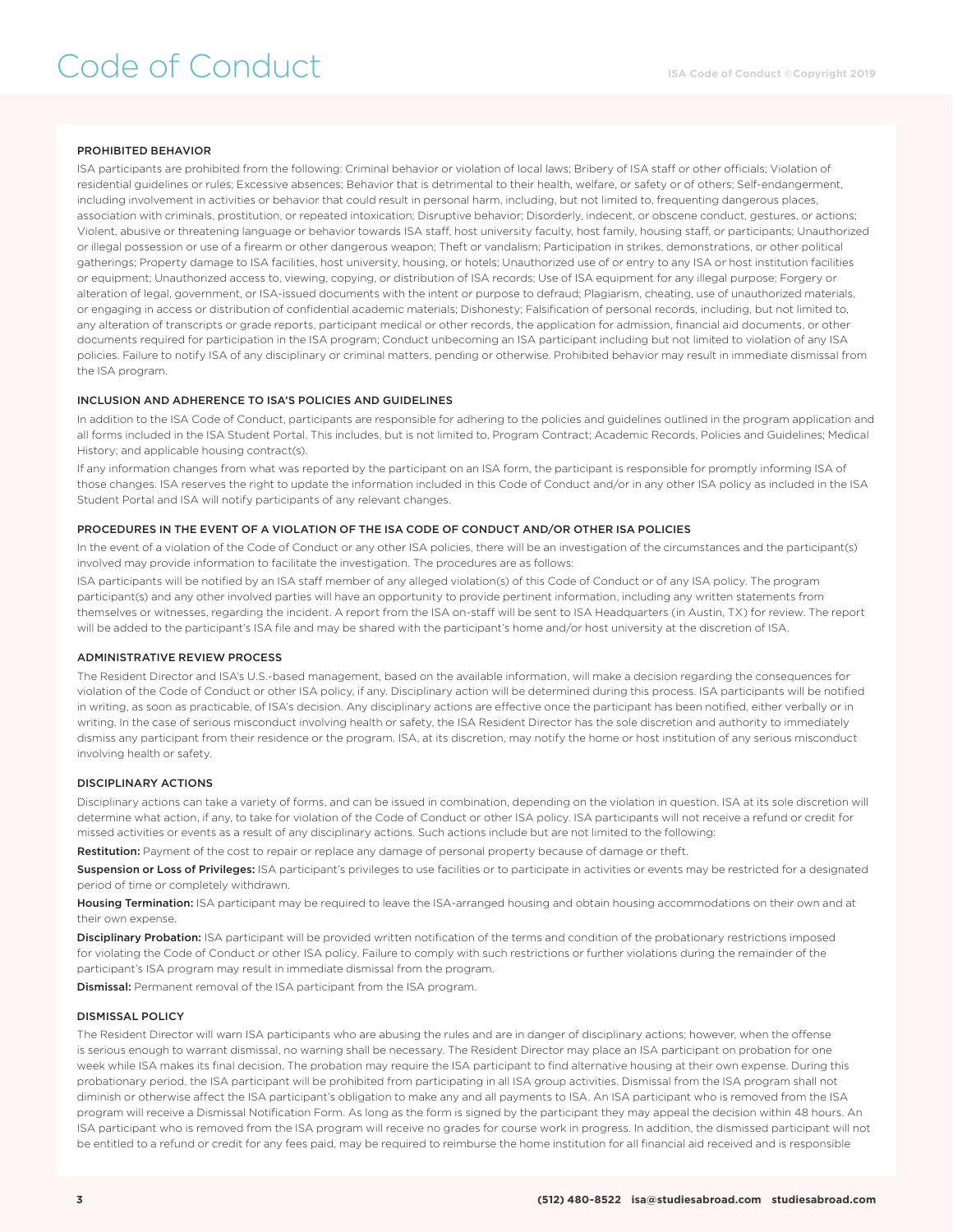# Code of Conduct

# PROHIBITED BEHAVIOR

ISA participants are prohibited from the following: Criminal behavior or violation of local laws; Bribery of ISA staff or other officials; Violation of residential guidelines or rules; Excessive absences; Behavior that is detrimental to their health, welfare, or safety or of others; Self-endangerment, including involvement in activities or behavior that could result in personal harm, including, but not limited to, frequenting dangerous places, association with criminals, prostitution, or repeated intoxication; Disruptive behavior; Disorderly, indecent, or obscene conduct, gestures, or actions; Violent, abusive or threatening language or behavior towards ISA staff, host university faculty, host family, housing staff, or participants; Unauthorized or illegal possession or use of a firearm or other dangerous weapon; Theft or vandalism; Participation in strikes, demonstrations, or other political gatherings; Property damage to ISA facilities, host university, housing, or hotels; Unauthorized use of or entry to any ISA or host institution facilities or equipment; Unauthorized access to, viewing, copying, or distribution of ISA records; Use of ISA equipment for any illegal purpose; Forgery or alteration of legal, government, or ISA-issued documents with the intent or purpose to defraud; Plagiarism, cheating, use of unauthorized materials, or engaging in access or distribution of confidential academic materials; Dishonesty; Falsification of personal records, including, but not limited to, any alteration of transcripts or grade reports, participant medical or other records, the application for admission, financial aid documents, or other documents required for participation in the ISA program; Conduct unbecoming an ISA participant including but not limited to violation of any ISA policies. Failure to notify ISA of any disciplinary or criminal matters, pending or otherwise. Prohibited behavior may result in immediate dismissal from the ISA program.

#### INCLUSION AND ADHERENCE TO ISA'S POLICIES AND GUIDELINES

In addition to the ISA Code of Conduct, participants are responsible for adhering to the policies and guidelines outlined in the program application and all forms included in the ISA Student Portal. This includes, but is not limited to, Program Contract; Academic Records, Policies and Guidelines; Medical History; and applicable housing contract(s).

If any information changes from what was reported by the participant on an ISA form, the participant is responsible for promptly informing ISA of those changes. ISA reserves the right to update the information included in this Code of Conduct and/or in any other ISA policy as included in the ISA Student Portal and ISA will notify participants of any relevant changes.

#### PROCEDURES IN THE EVENT OF A VIOLATION OF THE ISA CODE OF CONDUCT AND/OR OTHER ISA POLICIES

In the event of a violation of the Code of Conduct or any other ISA policies, there will be an investigation of the circumstances and the participant(s) involved may provide information to facilitate the investigation. The procedures are as follows:

ISA participants will be notified by an ISA staff member of any alleged violation(s) of this Code of Conduct or of any ISA policy. The program participant(s) and any other involved parties will have an opportunity to provide pertinent information, including any written statements from themselves or witnesses, regarding the incident. A report from the ISA on-staff will be sent to ISA Headquarters (in Austin, TX) for review. The report will be added to the participant's ISA file and may be shared with the participant's home and/or host university at the discretion of ISA.

#### ADMINISTRATIVE REVIEW PROCESS

The Resident Director and ISA's U.S.-based management, based on the available information, will make a decision regarding the consequences for violation of the Code of Conduct or other ISA policy, if any. Disciplinary action will be determined during this process. ISA participants will be notified in writing, as soon as practicable, of ISA's decision. Any disciplinary actions are effective once the participant has been notified, either verbally or in writing. In the case of serious misconduct involving health or safety, the ISA Resident Director has the sole discretion and authority to immediately dismiss any participant from their residence or the program. ISA, at its discretion, may notify the home or host institution of any serious misconduct involving health or safety.

#### DISCIPLINARY ACTIONS

Disciplinary actions can take a variety of forms, and can be issued in combination, depending on the violation in question. ISA at its sole discretion will determine what action, if any, to take for violation of the Code of Conduct or other ISA policy. ISA participants will not receive a refund or credit for missed activities or events as a result of any disciplinary actions. Such actions include but are not limited to the following:

Restitution: Payment of the cost to repair or replace any damage of personal property because of damage or theft.

Suspension or Loss of Privileges: ISA participant's privileges to use facilities or to participate in activities or events may be restricted for a designated period of time or completely withdrawn.

Housing Termination: ISA participant may be required to leave the ISA-arranged housing and obtain housing accommodations on their own and at their own expense.

Disciplinary Probation: ISA participant will be provided written notification of the terms and condition of the probationary restrictions imposed for violating the Code of Conduct or other ISA policy. Failure to comply with such restrictions or further violations during the remainder of the participant's ISA program may result in immediate dismissal from the program.

Dismissal: Permanent removal of the ISA participant from the ISA program.

## DISMISSAL POLICY

The Resident Director will warn ISA participants who are abusing the rules and are in danger of disciplinary actions; however, when the offense is serious enough to warrant dismissal, no warning shall be necessary. The Resident Director may place an ISA participant on probation for one week while ISA makes its final decision. The probation may require the ISA participant to find alternative housing at their own expense. During this probationary period, the ISA participant will be prohibited from participating in all ISA group activities. Dismissal from the ISA program shall not diminish or otherwise affect the ISA participant's obligation to make any and all payments to ISA. An ISA participant who is removed from the ISA program will receive a Dismissal Notification Form. As long as the form is signed by the participant they may appeal the decision within 48 hours. An ISA participant who is removed from the ISA program will receive no grades for course work in progress. In addition, the dismissed participant will not be entitled to a refund or credit for any fees paid, may be required to reimburse the home institution for all financial aid received and is responsible